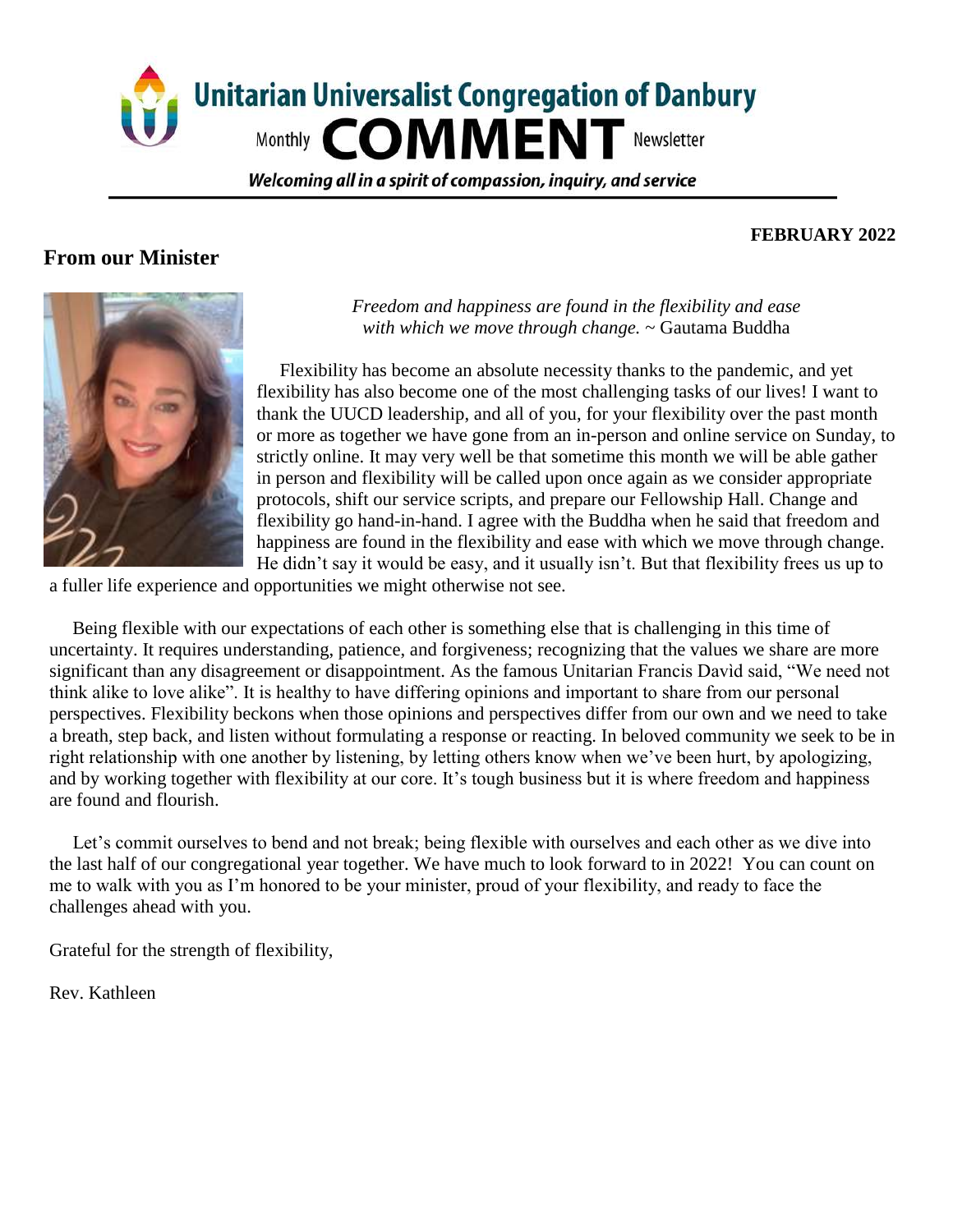

Welcoming all in a spirit of compassion, inguiry, and service

# **From our Minister**

#### **FEBRUARY 2022**



*Freedom and happiness are found in the flexibility and ease with which we move through change. ~* Gautama Buddha

 Flexibility has become an absolute necessity thanks to the pandemic, and yet flexibility has also become one of the most challenging tasks of our lives! I want to thank the UUCD leadership, and all of you, for your flexibility over the past month or more as together we have gone from an in-person and online service on Sunday, to strictly online. It may very well be that sometime this month we will be able gather in person and flexibility will be called upon once again as we consider appropriate protocols, shift our service scripts, and prepare our Fellowship Hall. Change and flexibility go hand-in-hand. I agree with the Buddha when he said that freedom and happiness are found in the flexibility and ease with which we move through change. He didn't say it would be easy, and it usually isn't. But that flexibility frees us up to

a fuller life experience and opportunities we might otherwise not see.

 Being flexible with our expectations of each other is something else that is challenging in this time of uncertainty. It requires understanding, patience, and forgiveness; recognizing that the values we share are more significant than any disagreement or disappointment. As the famous Unitarian Francis Davìd said, "We need not think alike to love alike". It is healthy to have differing opinions and important to share from our personal perspectives. Flexibility beckons when those opinions and perspectives differ from our own and we need to take a breath, step back, and listen without formulating a response or reacting. In beloved community we seek to be in right relationship with one another by listening, by letting others know when we've been hurt, by apologizing, and by working together with flexibility at our core. It's tough business but it is where freedom and happiness are found and flourish.

Let's commit ourselves to bend and not break; being flexible with ourselves and each other as we dive into the last half of our congregational year together. We have much to look forward to in 2022! You can count on me to walk with you as I'm honored to be your minister, proud of your flexibility, and ready to face the challenges ahead with you.

Grateful for the strength of flexibility,

Rev. Kathleen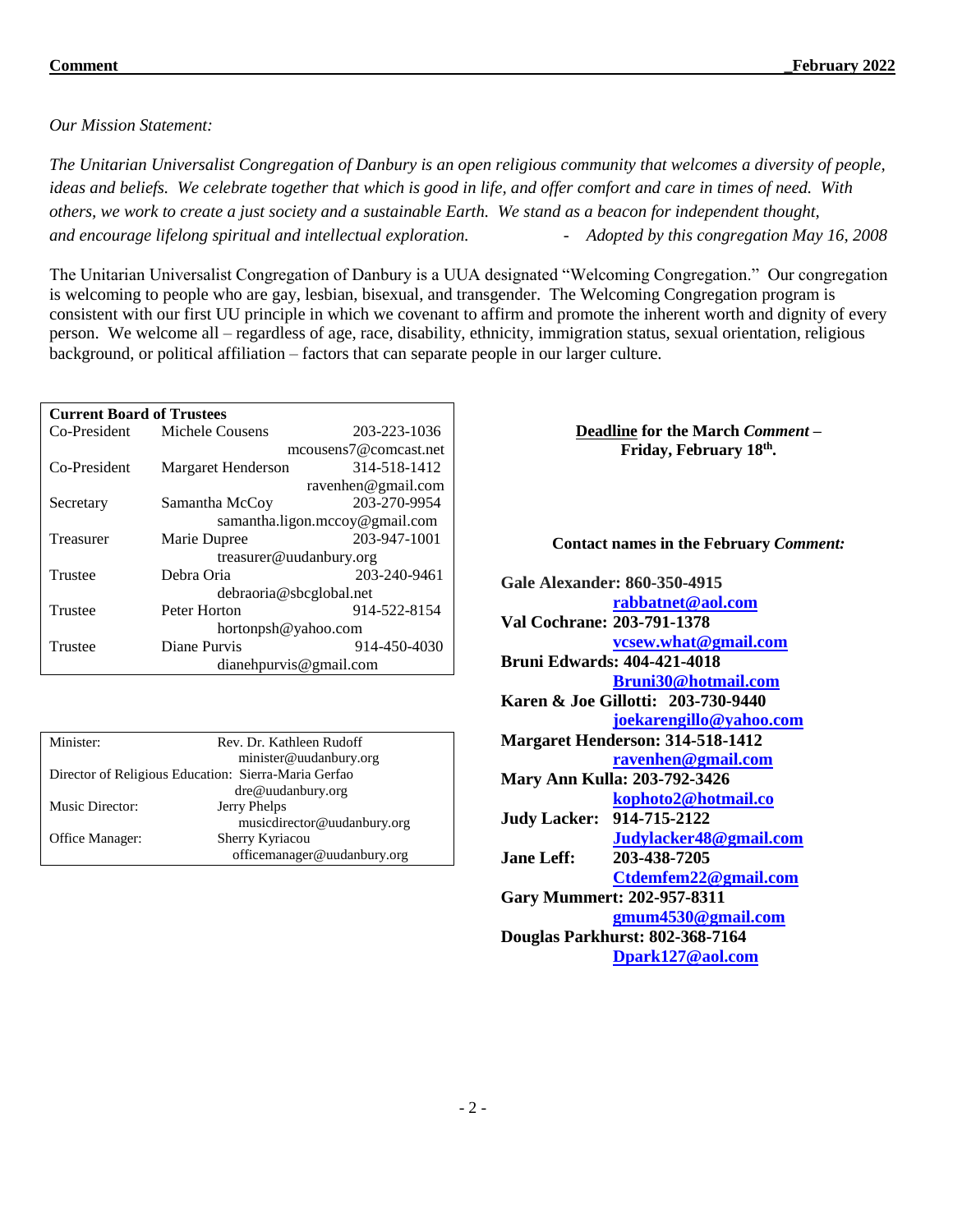#### *Our Mission Statement:*

*The Unitarian Universalist Congregation of Danbury is an open religious community that welcomes a diversity of people, ideas and beliefs. We celebrate together that which is good in life, and offer comfort and care in times of need. With others, we work to create a just society and a sustainable Earth. We stand as a beacon for independent thought, and encourage lifelong spiritual and intellectual exploration. - Adopted by this congregation May 16, 2008* 

The Unitarian Universalist Congregation of Danbury is a UUA designated "Welcoming Congregation." Our congregation is welcoming to people who are gay, lesbian, bisexual, and transgender. The Welcoming Congregation program is consistent with our first UU principle in which we covenant to affirm and promote the inherent worth and dignity of every person. We welcome all – regardless of age, race, disability, ethnicity, immigration status, sexual orientation, religious background, or political affiliation – factors that can separate people in our larger culture.

| <b>Current Board of Trustees</b> |                                |                       |  |  |  |
|----------------------------------|--------------------------------|-----------------------|--|--|--|
| Co-President                     | Michele Cousens                | 203-223-1036          |  |  |  |
|                                  |                                | mcousens7@comcast.net |  |  |  |
| Co-President                     | Margaret Henderson             | 314-518-1412          |  |  |  |
|                                  |                                | ravenhen@gmail.com    |  |  |  |
| Secretary                        | Samantha McCoy                 | 203-270-9954          |  |  |  |
|                                  | samantha.ligon.mccoy@gmail.com |                       |  |  |  |
| Treasurer                        | Marie Dupree                   | 203-947-1001          |  |  |  |
|                                  | treasurer@uudanbury.org        |                       |  |  |  |
| Trustee                          | Debra Oria                     | 203-240-9461          |  |  |  |
|                                  | debraoria@sbcglobal.net        |                       |  |  |  |
| Trustee                          | Peter Horton                   | 914-522-8154          |  |  |  |
|                                  | hortonpsh@yahoo.com            |                       |  |  |  |
| Trustee                          | Diane Purvis                   | 914-450-4030          |  |  |  |
|                                  | dianehpurvis@gmail.com         |                       |  |  |  |

| Minister:                                            | Rev. Dr. Kathleen Rudoff    |  |  |
|------------------------------------------------------|-----------------------------|--|--|
|                                                      | minister@uudanbury.org      |  |  |
| Director of Religious Education: Sierra-Maria Gerfao |                             |  |  |
|                                                      | dre@uudanbury.org           |  |  |
| Music Director:                                      | Jerry Phelps                |  |  |
|                                                      | musicdirector@uudanbury.org |  |  |
| Office Manager:                                      | Sherry Kyriacou             |  |  |
|                                                      | officemanager@uudanbury.org |  |  |

**Deadline for the March** *Comment –* **Friday, February 18th .** 

#### **Contact names in the February** *Comment:*

**Gale Alexander: 860-350-4915 [rabbatnet@aol.com](mailto:rabbatnet@aol.com) Val Cochrane: 203-791-1378 [vcsew.what@gmail.com](mailto:vcsew.what@gmail.com) Bruni Edwards: 404-421-4018 [Bruni30@hotmail.com](mailto:Bruni30@hotmail.com) Karen & Joe Gillotti: 203-730-9440 [joekarengillo@yahoo.com](mailto:joekarengillo@yahoo.com) Margaret Henderson: 314-518-1412 [ravenhen@gmail.com](mailto:ravenhen@gmail.com) Mary Ann Kulla: 203-792-3426 [kophoto2@hotmail.co](mailto:kophoto2@hotmail.co) Judy Lacker: 914-715-2122 [Judylacker48@gmail.com](mailto:Judylacker48@gmail.com) Jane Leff: 203-438-7205 [Ctdemfem22@gmail.com](mailto:Ctdemfem22@gmail.com) Gary Mummert: 202-957-8311 [gmum4530@gmail.com](mailto:gmum4530@gmail.com) Douglas Parkhurst: 802-368-7164 [Dpark127@aol.com](mailto:Dpark127@aol.com)**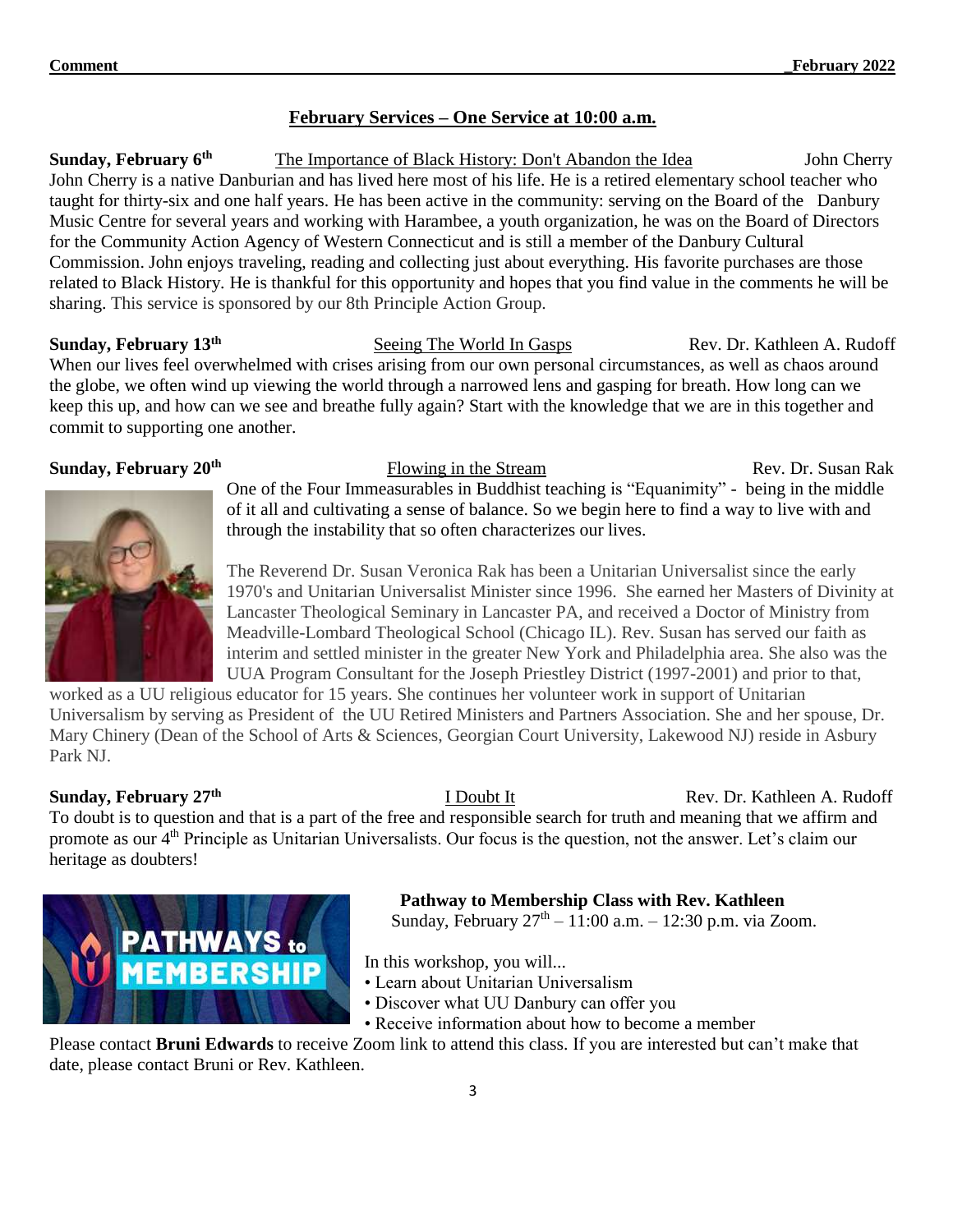#### **February Services – One Service at 10:00 a.m.**

**Sunday, February 6th The Importance of Black History: Don't Abandon the Idea John Cherry** John Cherry is a native Danburian and has lived here most of his life. He is a retired elementary school teacher who taught for thirty-six and one half years. He has been active in the community: serving on the Board of the Danbury Music Centre for several years and working with Harambee, a youth organization, he was on the Board of Directors for the Community Action Agency of Western Connecticut and is still a member of the Danbury Cultural Commission. John enjoys traveling, reading and collecting just about everything. His favorite purchases are those related to Black History. He is thankful for this opportunity and hopes that you find value in the comments he will be sharing. This service is sponsored by our 8th Principle Action Group.

#### **Sunday, February 13th**

**Seeing The World In Gasps Rev. Dr. Kathleen A. Rudoff** When our lives feel overwhelmed with crises arising from our own personal circumstances, as well as chaos around the globe, we often wind up viewing the world through a narrowed lens and gasping for breath. How long can we keep this up, and how can we see and breathe fully again? Start with the knowledge that we are in this together and commit to supporting one another.

#### **Sunday, February 20th**



Flowing in the Stream<br>
Rev. Dr. Susan Rak One of the Four Immeasurables in Buddhist teaching is "Equanimity" - being in the middle of it all and cultivating a sense of balance. So we begin here to find a way to live with and through the instability that so often characterizes our lives.

The Reverend Dr. Susan Veronica Rak has been a Unitarian Universalist since the early 1970's and Unitarian Universalist Minister since 1996. She earned her Masters of Divinity at Lancaster Theological Seminary in Lancaster PA, and received a Doctor of Ministry from Meadville-Lombard Theological School (Chicago IL). Rev. Susan has served our faith as interim and settled minister in the greater New York and Philadelphia area. She also was the UUA Program Consultant for the Joseph Priestley District (1997-2001) and prior to that,

worked as a UU religious educator for 15 years. She continues her volunteer work in support of Unitarian Universalism by serving as President of the UU Retired Ministers and Partners Association. She and her spouse, Dr. Mary Chinery (Dean of the School of Arts & Sciences, Georgian Court University, Lakewood NJ) reside in Asbury Park NJ.

#### **Sunday, February 27th**

**I Doubt It** Rev. Dr. Kathleen A. Rudoff

To doubt is to question and that is a part of the free and responsible search for truth and meaning that we affirm and promote as our 4<sup>th</sup> Principle as Unitarian Universalists. Our focus is the question, not the answer. Let's claim our heritage as doubters!



 **Pathway to Membership Class with Rev. Kathleen**

Sunday, February  $27^{th} - 11:00$  a.m.  $- 12:30$  p.m. via Zoom.

In this workshop, you will...

- Learn about Unitarian Universalism
- Discover what UU Danbury can offer you
- Receive information about how to become a member

Please contact **Bruni Edwards** to receive Zoom link to attend this class. If you are interested but can't make that date, please contact Bruni or Rev. Kathleen.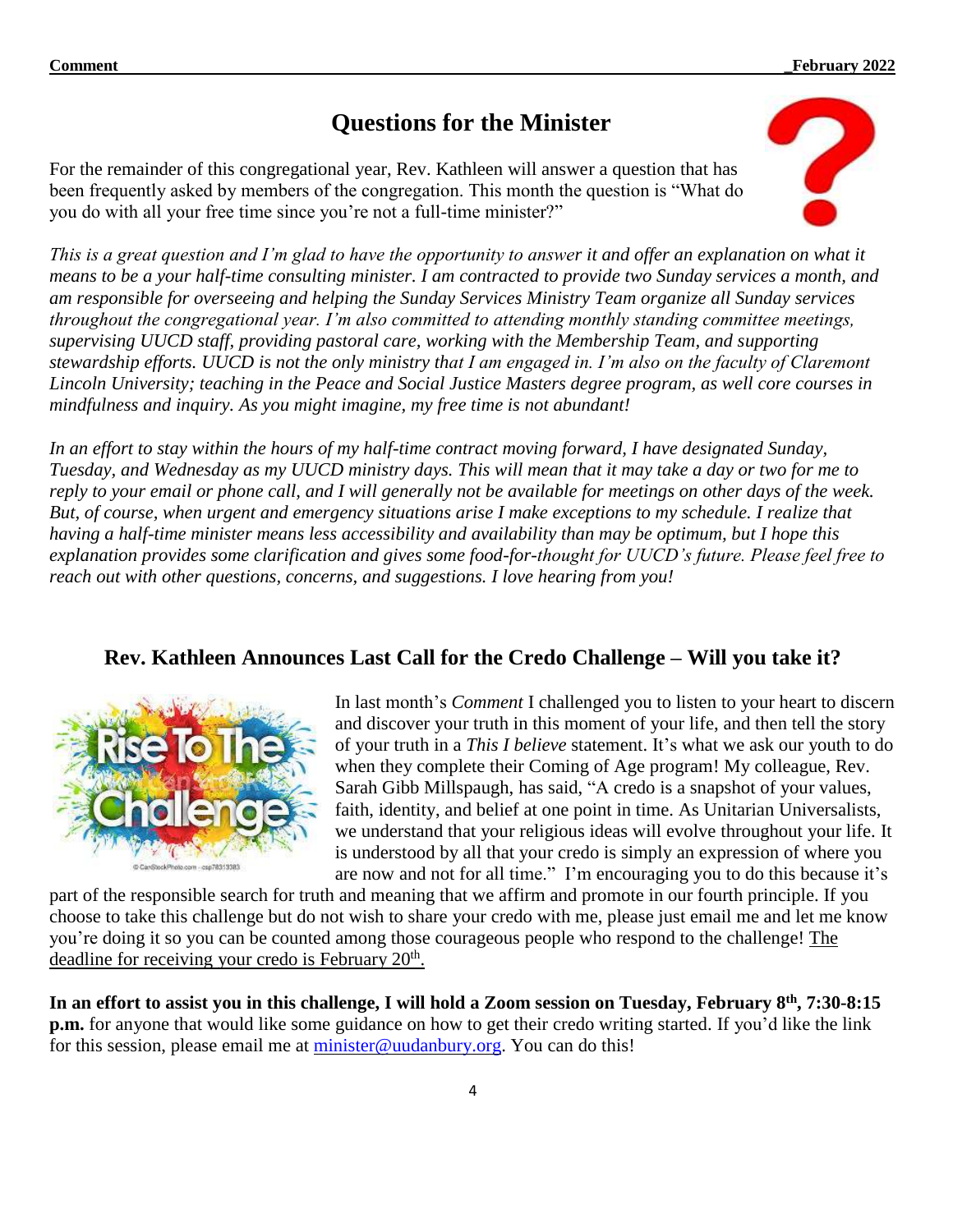# **Questions for the Minister**

For the remainder of this congregational year, Rev. Kathleen will answer a question that has been frequently asked by members of the congregation. This month the question is "What do you do with all your free time since you're not a full-time minister?"



*This is a great question and I'm glad to have the opportunity to answer it and offer an explanation on what it means to be a your half-time consulting minister. I am contracted to provide two Sunday services a month, and am responsible for overseeing and helping the Sunday Services Ministry Team organize all Sunday services throughout the congregational year. I'm also committed to attending monthly standing committee meetings, supervising UUCD staff, providing pastoral care, working with the Membership Team, and supporting stewardship efforts. UUCD is not the only ministry that I am engaged in. I'm also on the faculty of Claremont Lincoln University; teaching in the Peace and Social Justice Masters degree program, as well core courses in mindfulness and inquiry. As you might imagine, my free time is not abundant!* 

*In an effort to stay within the hours of my half-time contract moving forward, I have designated Sunday, Tuesday, and Wednesday as my UUCD ministry days. This will mean that it may take a day or two for me to reply to your email or phone call, and I will generally not be available for meetings on other days of the week. But, of course, when urgent and emergency situations arise I make exceptions to my schedule. I realize that having a half-time minister means less accessibility and availability than may be optimum, but I hope this explanation provides some clarification and gives some food-for-thought for UUCD's future. Please feel free to reach out with other questions, concerns, and suggestions. I love hearing from you!*

# **Rev. Kathleen Announces Last Call for the Credo Challenge – Will you take it?**



In last month's *Comment* I challenged you to listen to your heart to discern and discover your truth in this moment of your life, and then tell the story of your truth in a *This I believe* statement. It's what we ask our youth to do when they complete their Coming of Age program! My colleague, Rev. Sarah Gibb Millspaugh, has said, "A credo is a snapshot of your values, faith, identity, and belief at one point in time. As Unitarian Universalists, we understand that your religious ideas will evolve throughout your life. It is understood by all that your credo is simply an expression of where you are now and not for all time." I'm encouraging you to do this because it's

part of the responsible search for truth and meaning that we affirm and promote in our fourth principle. If you choose to take this challenge but do not wish to share your credo with me, please just email me and let me know you're doing it so you can be counted among those courageous people who respond to the challenge! The deadline for receiving your credo is February 20<sup>th</sup>.

In an effort to assist you in this challenge, I will hold a Zoom session on Tuesday, February 8th, 7:30-8:15 **p.m.** for anyone that would like some guidance on how to get their credo writing started. If you'd like the link for this session, please email me at [minister@uudanbury.org.](mailto:minister@uudanbury.org) You can do this!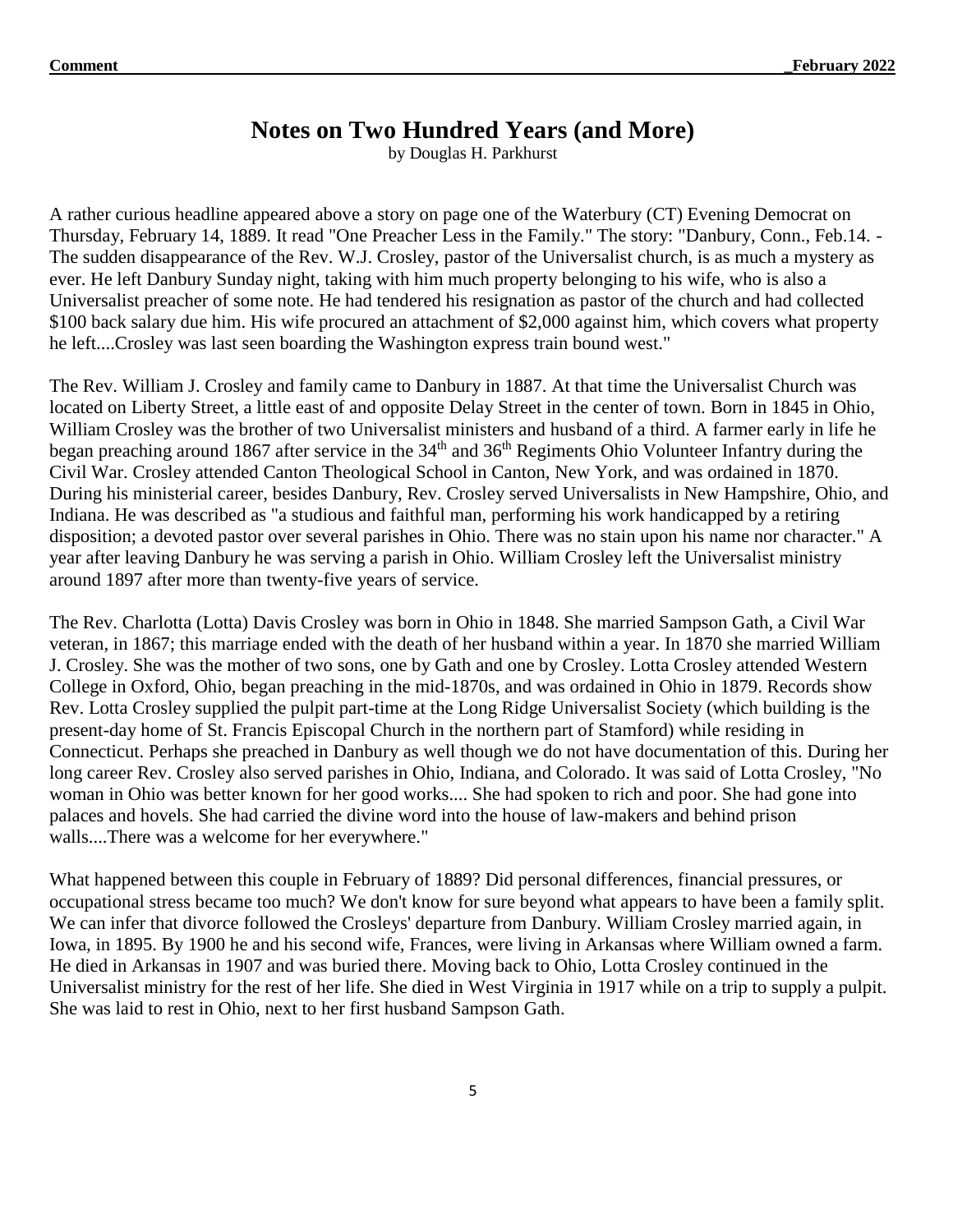# **Notes on Two Hundred Years (and More)**

by Douglas H. Parkhurst

A rather curious headline appeared above a story on page one of the Waterbury (CT) Evening Democrat on Thursday, February 14, 1889. It read "One Preacher Less in the Family." The story: "Danbury, Conn., Feb.14. - The sudden disappearance of the Rev. W.J. Crosley, pastor of the Universalist church, is as much a mystery as ever. He left Danbury Sunday night, taking with him much property belonging to his wife, who is also a Universalist preacher of some note. He had tendered his resignation as pastor of the church and had collected \$100 back salary due him. His wife procured an attachment of \$2,000 against him, which covers what property he left....Crosley was last seen boarding the Washington express train bound west."

The Rev. William J. Crosley and family came to Danbury in 1887. At that time the Universalist Church was located on Liberty Street, a little east of and opposite Delay Street in the center of town. Born in 1845 in Ohio, William Crosley was the brother of two Universalist ministers and husband of a third. A farmer early in life he began preaching around 1867 after service in the 34<sup>th</sup> and 36<sup>th</sup> Regiments Ohio Volunteer Infantry during the Civil War. Crosley attended Canton Theological School in Canton, New York, and was ordained in 1870. During his ministerial career, besides Danbury, Rev. Crosley served Universalists in New Hampshire, Ohio, and Indiana. He was described as "a studious and faithful man, performing his work handicapped by a retiring disposition; a devoted pastor over several parishes in Ohio. There was no stain upon his name nor character." A year after leaving Danbury he was serving a parish in Ohio. William Crosley left the Universalist ministry around 1897 after more than twenty-five years of service.

The Rev. Charlotta (Lotta) Davis Crosley was born in Ohio in 1848. She married Sampson Gath, a Civil War veteran, in 1867; this marriage ended with the death of her husband within a year. In 1870 she married William J. Crosley. She was the mother of two sons, one by Gath and one by Crosley. Lotta Crosley attended Western College in Oxford, Ohio, began preaching in the mid-1870s, and was ordained in Ohio in 1879. Records show Rev. Lotta Crosley supplied the pulpit part-time at the Long Ridge Universalist Society (which building is the present-day home of St. Francis Episcopal Church in the northern part of Stamford) while residing in Connecticut. Perhaps she preached in Danbury as well though we do not have documentation of this. During her long career Rev. Crosley also served parishes in Ohio, Indiana, and Colorado. It was said of Lotta Crosley, "No woman in Ohio was better known for her good works.... She had spoken to rich and poor. She had gone into palaces and hovels. She had carried the divine word into the house of law-makers and behind prison walls....There was a welcome for her everywhere."

What happened between this couple in February of 1889? Did personal differences, financial pressures, or occupational stress became too much? We don't know for sure beyond what appears to have been a family split. We can infer that divorce followed the Crosleys' departure from Danbury. William Crosley married again, in Iowa, in 1895. By 1900 he and his second wife, Frances, were living in Arkansas where William owned a farm. He died in Arkansas in 1907 and was buried there. Moving back to Ohio, Lotta Crosley continued in the Universalist ministry for the rest of her life. She died in West Virginia in 1917 while on a trip to supply a pulpit. She was laid to rest in Ohio, next to her first husband Sampson Gath.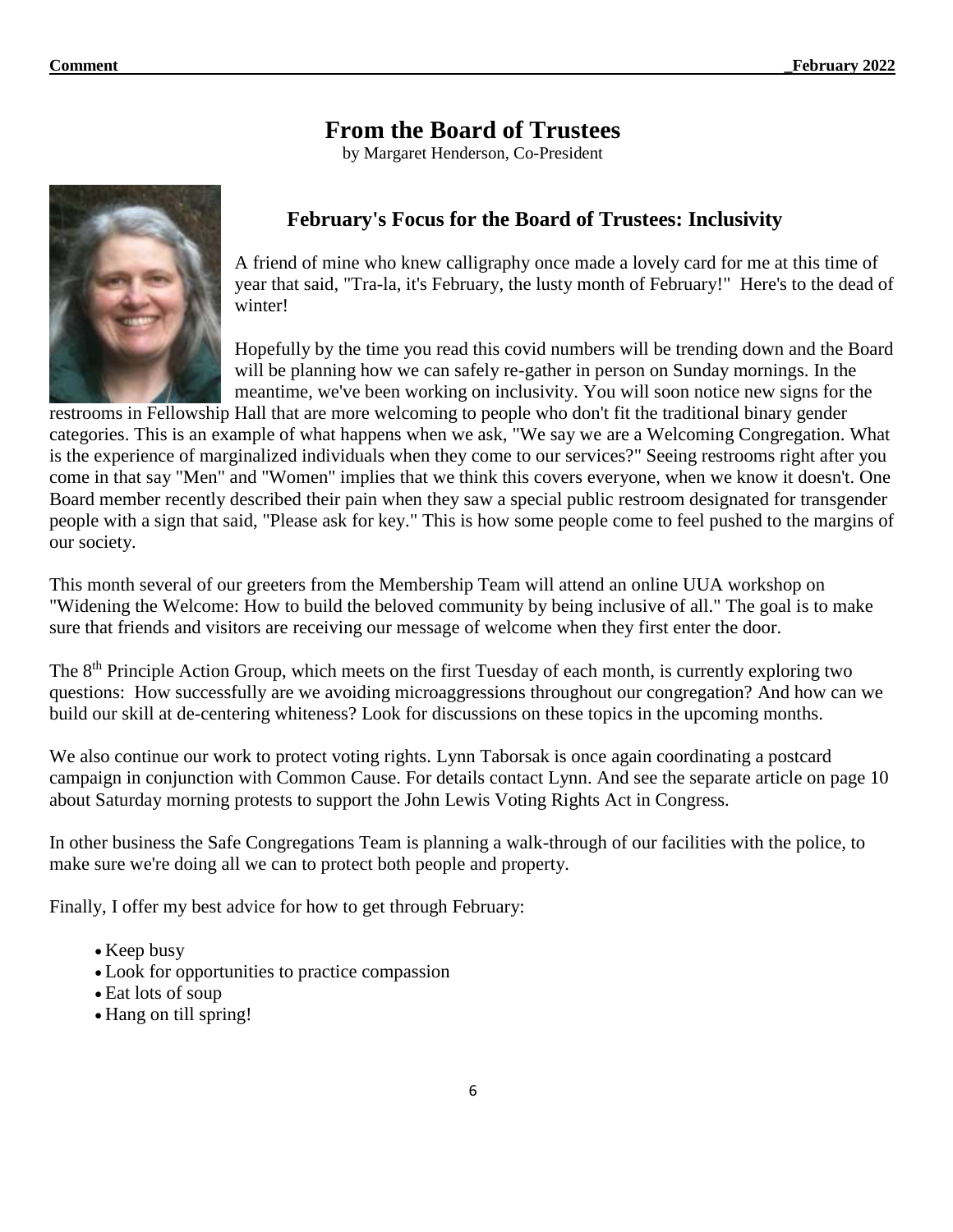# **From the Board of Trustees**

by Margaret Henderson, Co-President



### **February's Focus for the Board of Trustees: Inclusivity**

A friend of mine who knew calligraphy once made a lovely card for me at this time of year that said, "Tra-la, it's February, the lusty month of February!" Here's to the dead of winter!

Hopefully by the time you read this covid numbers will be trending down and the Board will be planning how we can safely re-gather in person on Sunday mornings. In the meantime, we've been working on inclusivity. You will soon notice new signs for the

restrooms in Fellowship Hall that are more welcoming to people who don't fit the traditional binary gender categories. This is an example of what happens when we ask, "We say we are a Welcoming Congregation. What is the experience of marginalized individuals when they come to our services?" Seeing restrooms right after you come in that say "Men" and "Women" implies that we think this covers everyone, when we know it doesn't. One Board member recently described their pain when they saw a special public restroom designated for transgender people with a sign that said, "Please ask for key." This is how some people come to feel pushed to the margins of our society.

This month several of our greeters from the Membership Team will attend an online UUA workshop on "Widening the Welcome: How to build the beloved community by being inclusive of all." The goal is to make sure that friends and visitors are receiving our message of welcome when they first enter the door.

The 8<sup>th</sup> Principle Action Group, which meets on the first Tuesday of each month, is currently exploring two questions: How successfully are we avoiding microaggressions throughout our congregation? And how can we build our skill at de-centering whiteness? Look for discussions on these topics in the upcoming months.

We also continue our work to protect voting rights. Lynn Taborsak is once again coordinating a postcard campaign in conjunction with Common Cause. For details contact Lynn. And see the separate article on page 10 about Saturday morning protests to support the John Lewis Voting Rights Act in Congress.

In other business the Safe Congregations Team is planning a walk-through of our facilities with the police, to make sure we're doing all we can to protect both people and property.

Finally, I offer my best advice for how to get through February:

- Keep busy
- Look for opportunities to practice compassion
- Eat lots of soup
- Hang on till spring!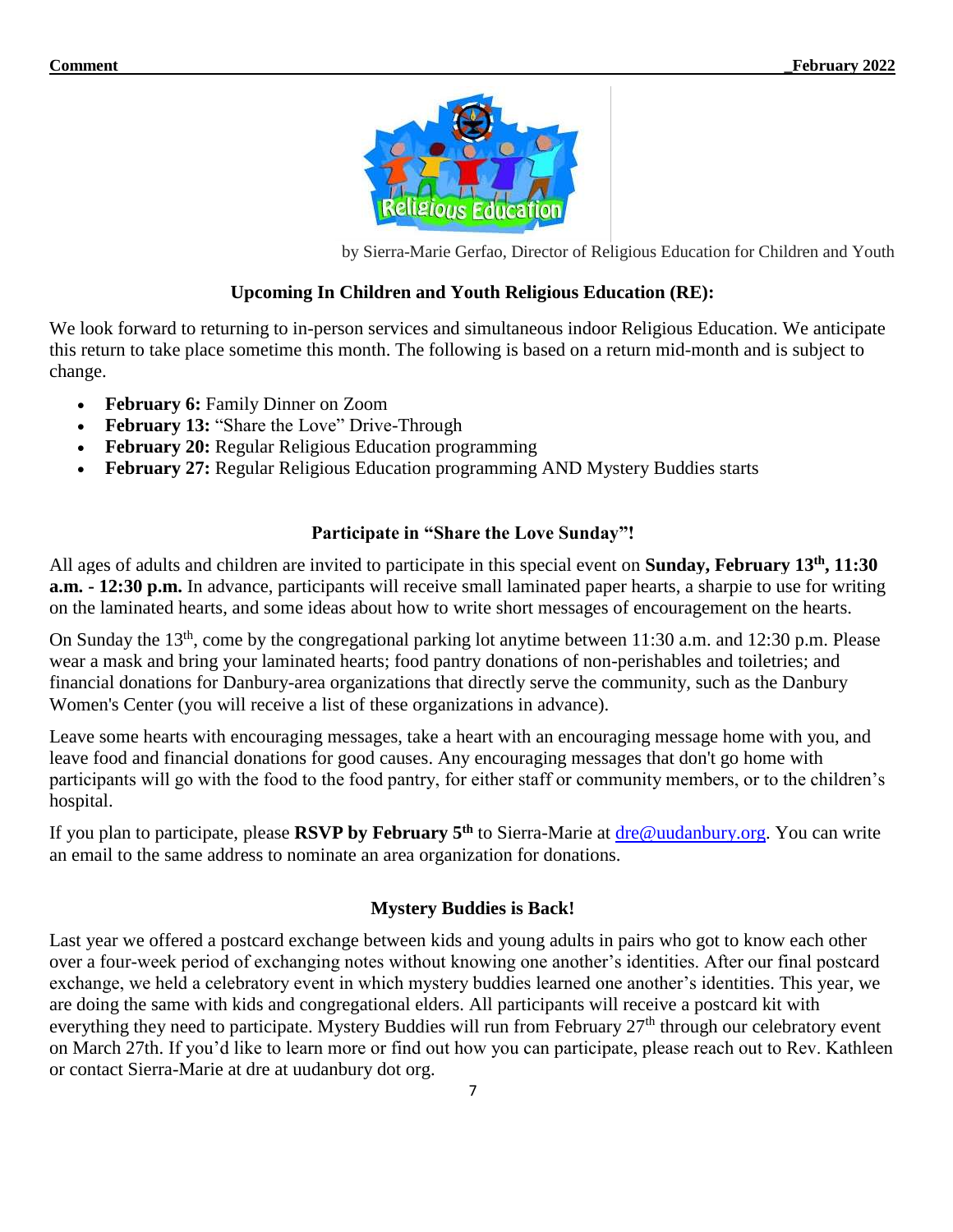

by Sierra-Marie Gerfao, Director of Religious Education for Children and Youth

#### **Upcoming In Children and Youth Religious Education (RE):**

We look forward to returning to in-person services and simultaneous indoor Religious Education. We anticipate this return to take place sometime this month. The following is based on a return mid-month and is subject to change.

- **February 6:** Family Dinner on Zoom
- February 13: "Share the Love" Drive-Through
- **February 20:** Regular Religious Education programming
- **February 27:** Regular Religious Education programming AND Mystery Buddies starts

#### **Participate in "Share the Love Sunday"!**

All ages of adults and children are invited to participate in this special event on **Sunday, February 13th , 11:30 a.m. - 12:30 p.m.** In advance, participants will receive small laminated paper hearts, a sharpie to use for writing on the laminated hearts, and some ideas about how to write short messages of encouragement on the hearts.

On Sunday the  $13<sup>th</sup>$ , come by the congregational parking lot anytime between 11:30 a.m. and 12:30 p.m. Please wear a mask and bring your laminated hearts; food pantry donations of non-perishables and toiletries; and financial donations for Danbury-area organizations that directly serve the community, such as the Danbury Women's Center (you will receive a list of these organizations in advance).

Leave some hearts with encouraging messages, take a heart with an encouraging message home with you, and leave food and financial donations for good causes. Any encouraging messages that don't go home with participants will go with the food to the food pantry, for either staff or community members, or to the children's hospital.

If you plan to participate, please **RSVP by February 5 th** to Sierra-Marie at [dre@uudanbury.org.](mailto:dre@uudanbury.org) You can write an email to the same address to nominate an area organization for donations.

#### **Mystery Buddies is Back!**

Last year we offered a postcard exchange between kids and young adults in pairs who got to know each other over a four-week period of exchanging notes without knowing one another's identities. After our final postcard exchange, we held a celebratory event in which mystery buddies learned one another's identities. This year, we are doing the same with kids and congregational elders. All participants will receive a postcard kit with everything they need to participate. Mystery Buddies will run from February 27<sup>th</sup> through our celebratory event on March 27th. If you'd like to learn more or find out how you can participate, please reach out to Rev. Kathleen or contact Sierra-Marie at dre at uudanbury dot org.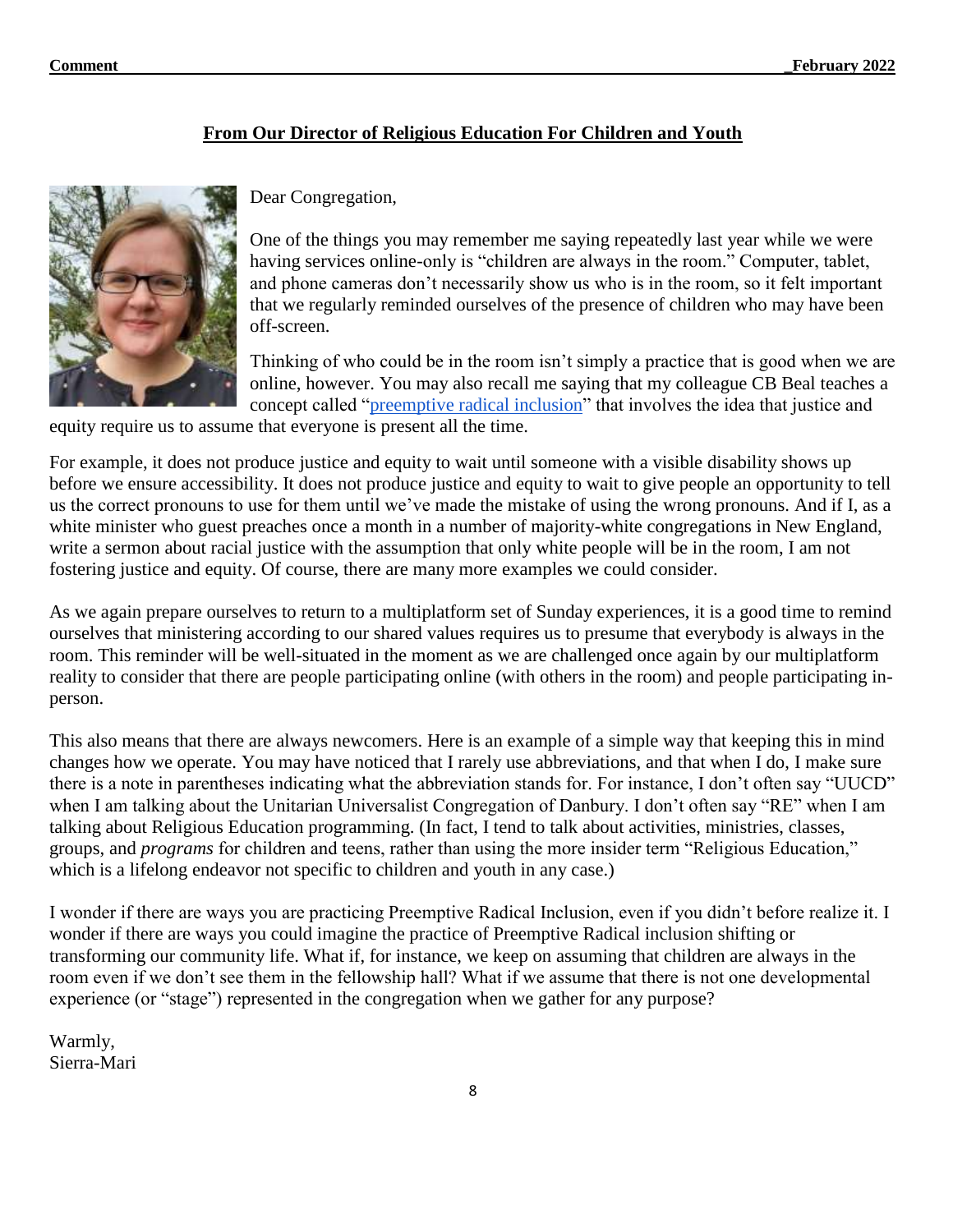#### **From Our Director of Religious Education For Children and Youth**



Dear Congregation,

One of the things you may remember me saying repeatedly last year while we were having services online-only is "children are always in the room." Computer, tablet, and phone cameras don't necessarily show us who is in the room, so it felt important that we regularly reminded ourselves of the presence of children who may have been off-screen.

Thinking of who could be in the room isn't simply a practice that is good when we are online, however. You may also recall me saying that my colleague CB Beal teaches a concept called ["preemptive radical inclusion"](https://justiceandpeaceconsulting.com/preemptive-radical-inclusion/) that involves the idea that justice and

equity require us to assume that everyone is present all the time.

For example, it does not produce justice and equity to wait until someone with a visible disability shows up before we ensure accessibility. It does not produce justice and equity to wait to give people an opportunity to tell us the correct pronouns to use for them until we've made the mistake of using the wrong pronouns. And if I, as a white minister who guest preaches once a month in a number of majority-white congregations in New England, write a sermon about racial justice with the assumption that only white people will be in the room, I am not fostering justice and equity. Of course, there are many more examples we could consider.

As we again prepare ourselves to return to a multiplatform set of Sunday experiences, it is a good time to remind ourselves that ministering according to our shared values requires us to presume that everybody is always in the room. This reminder will be well-situated in the moment as we are challenged once again by our multiplatform reality to consider that there are people participating online (with others in the room) and people participating inperson.

This also means that there are always newcomers. Here is an example of a simple way that keeping this in mind changes how we operate. You may have noticed that I rarely use abbreviations, and that when I do, I make sure there is a note in parentheses indicating what the abbreviation stands for. For instance, I don't often say "UUCD" when I am talking about the Unitarian Universalist Congregation of Danbury. I don't often say "RE" when I am talking about Religious Education programming. (In fact, I tend to talk about activities, ministries, classes, groups, and *programs* for children and teens, rather than using the more insider term "Religious Education," which is a lifelong endeavor not specific to children and youth in any case.)

I wonder if there are ways you are practicing Preemptive Radical Inclusion, even if you didn't before realize it. I wonder if there are ways you could imagine the practice of Preemptive Radical inclusion shifting or transforming our community life. What if, for instance, we keep on assuming that children are always in the room even if we don't see them in the fellowship hall? What if we assume that there is not one developmental experience (or "stage") represented in the congregation when we gather for any purpose?

Warmly, Sierra-Mari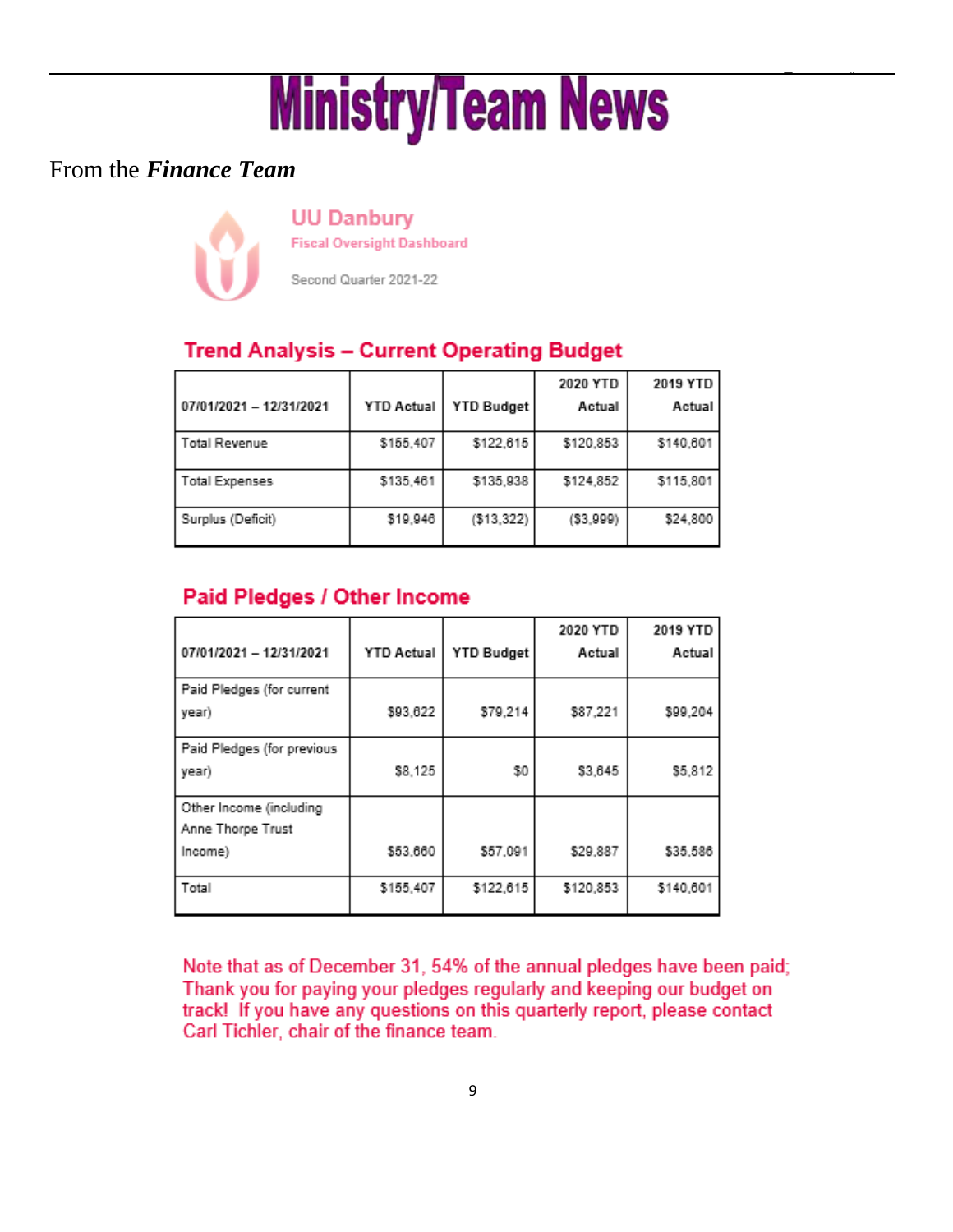# **Comment \_February 2022**

# From the *Finance Team*

**UU Danbury** 

**Fiscal Oversight Dashboard** 

Second Quarter 2021-22

# **Trend Analysis - Current Operating Budget**

|                         |                   |            | 2020 YTD   | 2019 YTD  |
|-------------------------|-------------------|------------|------------|-----------|
| 07/01/2021 - 12/31/2021 | <b>YTD Actual</b> | YTD Budget | Actual     | Actual    |
| <b>Total Revenue</b>    | \$155,407         | \$122,615  | \$120,853  | \$140,601 |
| <b>Total Expenses</b>   | \$135,461         | \$135,938  | \$124,852  | \$115,801 |
| Surplus (Deficit)       | \$19,946          | (\$13,322) | ( \$3,999) | \$24,800  |

# Paid Pledges / Other Income

| 07/01/2021 - 12/31/2021                      | <b>YTD Actual</b> | <b>YTD Budget</b> | 2020 YTD<br>Actual | 2019 YTD<br>Actual |
|----------------------------------------------|-------------------|-------------------|--------------------|--------------------|
| Paid Pledges (for current<br>year)           | \$93,622          | \$79,214          | \$87,221           | \$99,204           |
| Paid Pledges (for previous<br>year)          | \$8,125           | \$0               | \$3,645            | \$5,812            |
| Other Income (including<br>Anne Thorpe Trust |                   |                   |                    |                    |
| Income)                                      | \$53,660          | \$57,091          | \$29,887           | \$35,586           |
| Total                                        | \$155,407         | \$122,615         | \$120,853          | \$140,601          |

Note that as of December 31, 54% of the annual pledges have been paid; Thank you for paying your pledges regularly and keeping our budget on track! If you have any questions on this quarterly report, please contact Carl Tichler, chair of the finance team.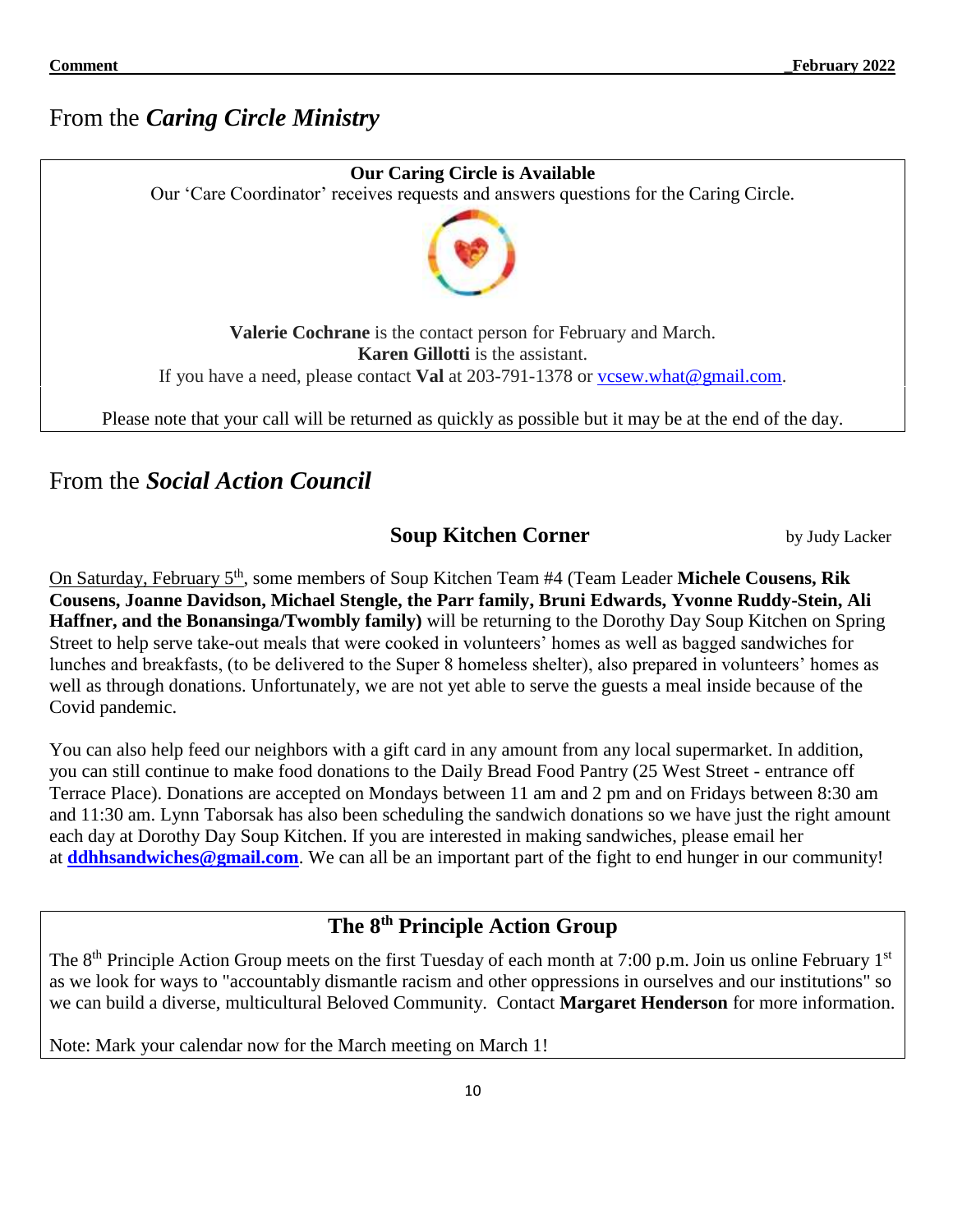# From the *Caring Circle Ministry*



From the *Social Action Council* 

**Soup Kitchen Corner by Judy Lacker** 

On Saturday, February 5<sup>th</sup>, some members of Soup Kitchen Team #4 (Team Leader Michele Cousens, Rik **Cousens, Joanne Davidson, Michael Stengle, the Parr family, Bruni Edwards, Yvonne Ruddy-Stein, Ali Haffner, and the Bonansinga/Twombly family)** will be returning to the Dorothy Day Soup Kitchen on Spring Street to help serve take-out meals that were cooked in volunteers' homes as well as bagged sandwiches for lunches and breakfasts, (to be delivered to the Super 8 homeless shelter), also prepared in volunteers' homes as well as through donations. Unfortunately, we are not yet able to serve the guests a meal inside because of the Covid pandemic.

You can also help feed our neighbors with a gift card in any amount from any local supermarket. In addition, you can still continue to make food donations to the Daily Bread Food Pantry (25 West Street - entrance off Terrace Place). Donations are accepted on Mondays between 11 am and 2 pm and on Fridays between 8:30 am and 11:30 am. Lynn Taborsak has also been scheduling the sandwich donations so we have just the right amount each day at Dorothy Day Soup Kitchen. If you are interested in making sandwiches, please email her at **[ddhhsandwiches@gmail.com](mailto:ddhhsandwiches@gmail.com)**. We can all be an important part of the fight to end hunger in our community!

# **The 8th Principle Action Group**

The 8<sup>th</sup> Principle Action Group meets on the first Tuesday of each month at 7:00 p.m. Join us online February 1<sup>st</sup> as we look for ways to "accountably dismantle racism and other oppressions in ourselves and our institutions" so we can build a diverse, multicultural Beloved Community. Contact **Margaret Henderson** for more information.

Note: Mark your calendar now for the March meeting on March 1!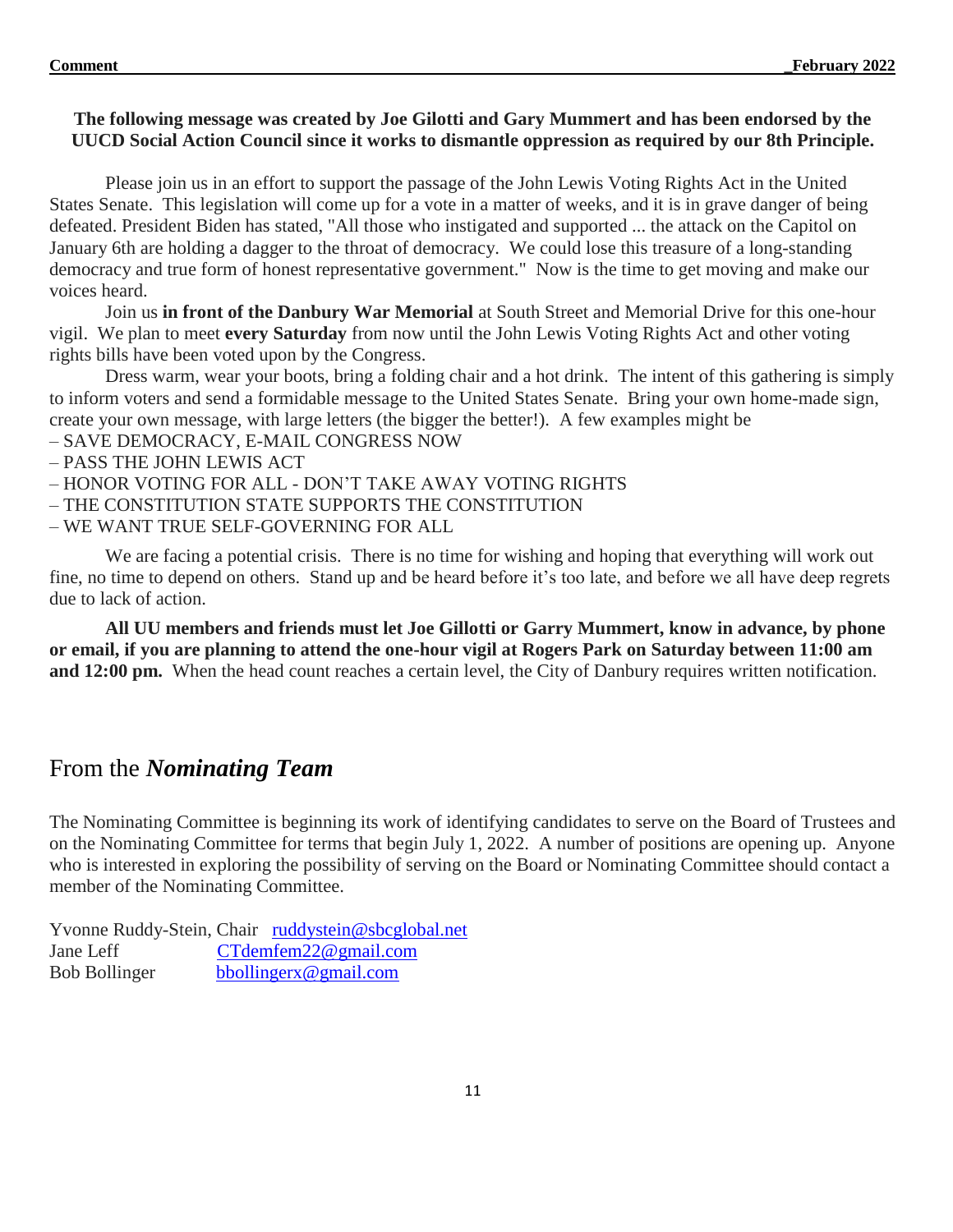#### **The following message was created by Joe Gilotti and Gary Mummert and has been endorsed by the UUCD Social Action Council since it works to dismantle oppression as required by our 8th Principle.**

Please join us in an effort to support the passage of the John Lewis Voting Rights Act in the United States Senate. This legislation will come up for a vote in a matter of weeks, and it is in grave danger of being defeated. President Biden has stated, "All those who instigated and supported ... the attack on the Capitol on January 6th are holding a dagger to the throat of democracy. We could lose this treasure of a long-standing democracy and true form of honest representative government." Now is the time to get moving and make our voices heard.

Join us **in front of the Danbury War Memorial** at South Street and Memorial Drive for this one-hour vigil. We plan to meet **every Saturday** from now until the John Lewis Voting Rights Act and other voting rights bills have been voted upon by the Congress.

Dress warm, wear your boots, bring a folding chair and a hot drink. The intent of this gathering is simply to inform voters and send a formidable message to the United States Senate. Bring your own home-made sign, create your own message, with large letters (the bigger the better!). A few examples might be

- SAVE DEMOCRACY, E-MAIL CONGRESS NOW
- PASS THE JOHN LEWIS ACT
- HONOR VOTING FOR ALL DON'T TAKE AWAY VOTING RIGHTS
- THE CONSTITUTION STATE SUPPORTS THE CONSTITUTION
- WE WANT TRUE SELF-GOVERNING FOR ALL

We are facing a potential crisis. There is no time for wishing and hoping that everything will work out fine, no time to depend on others. Stand up and be heard before it's too late, and before we all have deep regrets due to lack of action.

**All UU members and friends must let Joe Gillotti or Garry Mummert, know in advance, by phone or email, if you are planning to attend the one-hour vigil at Rogers Park on Saturday between 11:00 am and 12:00 pm.** When the head count reaches a certain level, the City of Danbury requires written notification.

# From the *Nominating Team*

The Nominating Committee is beginning its work of identifying candidates to serve on the Board of Trustees and on the Nominating Committee for terms that begin July 1, 2022. A number of positions are opening up. Anyone who is interested in exploring the possibility of serving on the Board or Nominating Committee should contact a member of the Nominating Committee.

Yvonne Ruddy-Stein, Chair [ruddystein@sbcglobal.net](mailto:ruddystein@sbcglobal.net) Jane Leff [CTdemfem22@gmail.com](mailto:CTdemfem22@gmail.com) Bob Bollinger [bbollingerx@gmail.com](mailto:bbollingerx@gmail.com)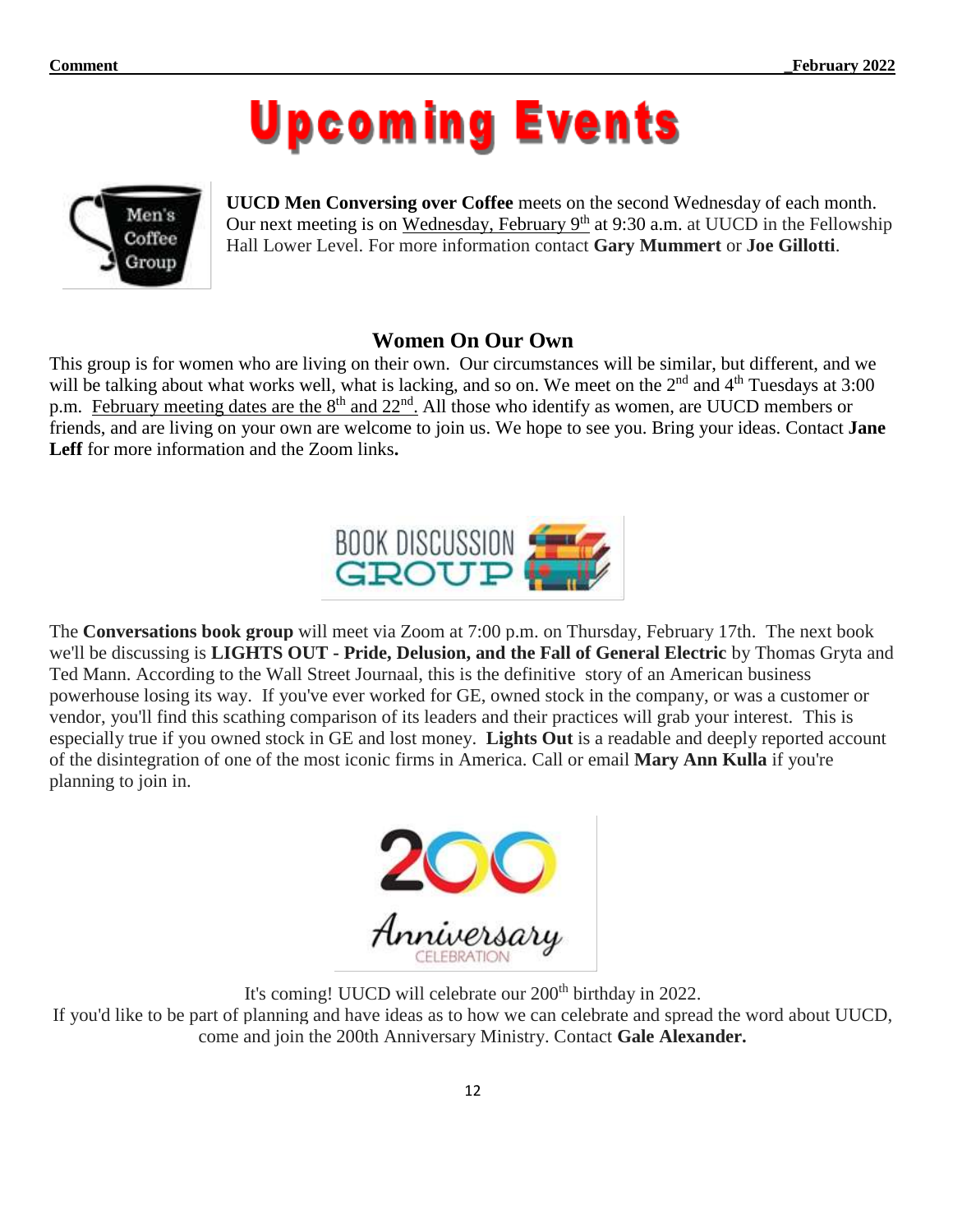# **Upcoming Events**



**UUCD Men Conversing over Coffee** meets on the second Wednesday of each month. Our next meeting is on Wednesday, February  $9<sup>th</sup>$  at 9:30 a.m. at UUCD in the Fellowship Hall Lower Level. For more information contact **Gary Mummert** or **Joe Gillotti**.

## **Women On Our Own**

This group is for women who are living on their own. Our circumstances will be similar, but different, and we will be talking about what works well, what is lacking, and so on. We meet on the 2<sup>nd</sup> and 4<sup>th</sup> Tuesdays at 3:00 p.m. February meeting dates are the  $8<sup>th</sup>$  and  $22<sup>nd</sup>$ . All those who identify as women, are UUCD members or friends, and are living on your own are welcome to join us. We hope to see you. Bring your ideas. Contact **Jane Leff** for more information and the Zoom links**.**



The **Conversations book group** will meet via Zoom at 7:00 p.m. on Thursday, February 17th. The next book we'll be discussing is **LIGHTS OUT - Pride, Delusion, and the Fall of General Electric** by Thomas Gryta and Ted Mann. According to the Wall Street Journaal, this is the definitive story of an American business powerhouse losing its way. If you've ever worked for GE, owned stock in the company, or was a customer or vendor, you'll find this scathing comparison of its leaders and their practices will grab your interest. This is especially true if you owned stock in GE and lost money. **Lights Out** is a readable and deeply reported account of the disintegration of one of the most iconic firms in America. Call or email **Mary Ann Kulla** if you're planning to join in.



It's coming! UUCD will celebrate our 200<sup>th</sup> birthday in 2022. If you'd like to be part of planning and have ideas as to how we can celebrate and spread the word about UUCD, come and join the 200th Anniversary Ministry. Contact **Gale Alexander.**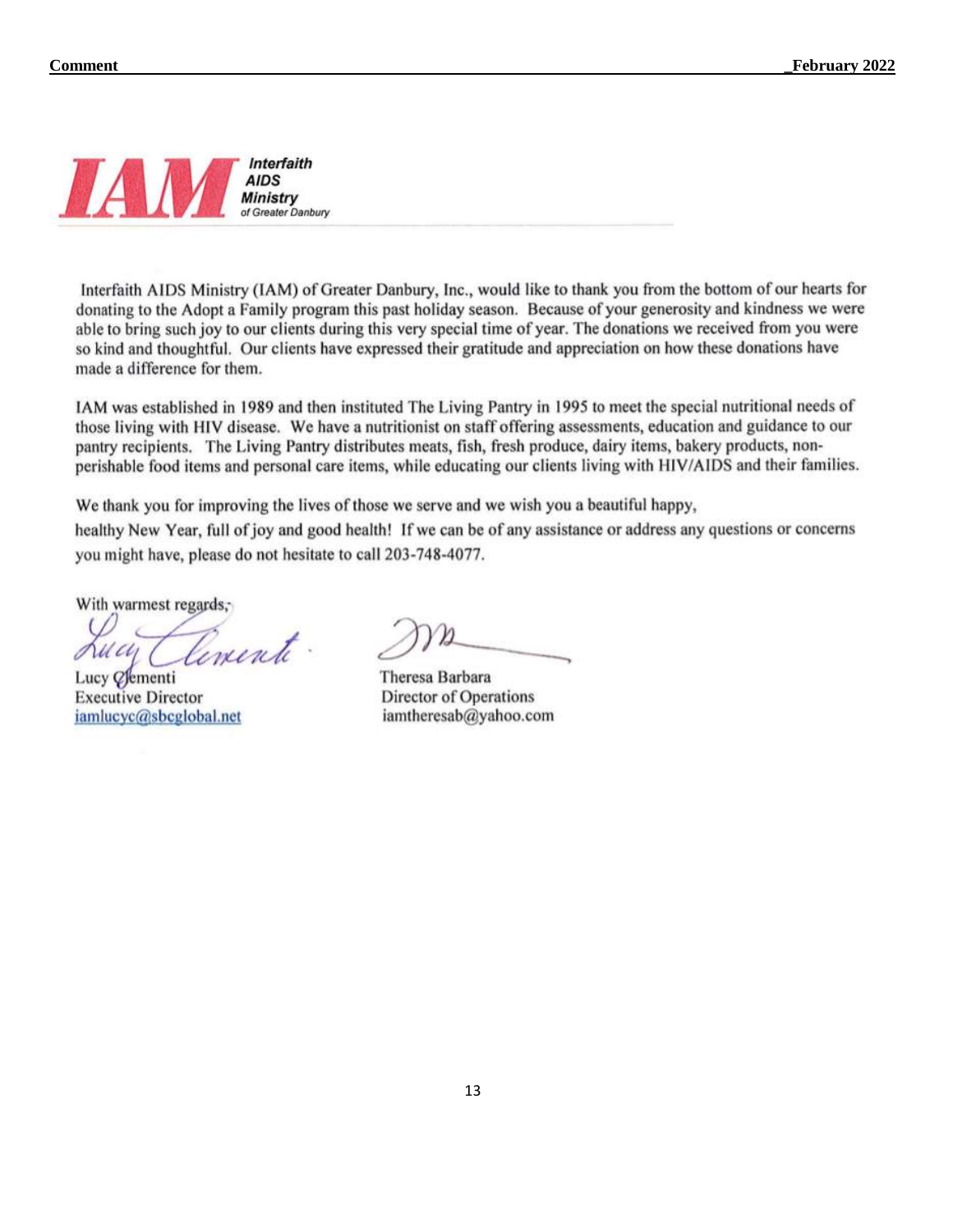

Interfaith AIDS Ministry (IAM) of Greater Danbury, Inc., would like to thank you from the bottom of our hearts for donating to the Adopt a Family program this past holiday season. Because of your generosity and kindness we were able to bring such joy to our clients during this very special time of year. The donations we received from you were so kind and thoughtful. Our clients have expressed their gratitude and appreciation on how these donations have made a difference for them.

IAM was established in 1989 and then instituted The Living Pantry in 1995 to meet the special nutritional needs of those living with HIV disease. We have a nutritionist on staff offering assessments, education and guidance to our pantry recipients. The Living Pantry distributes meats, fish, fresh produce, dairy items, bakery products, nonperishable food items and personal care items, while educating our clients living with HIV/AIDS and their families.

We thank you for improving the lives of those we serve and we wish you a beautiful happy,

healthy New Year, full of joy and good health! If we can be of any assistance or address any questions or concerns you might have, please do not hesitate to call 203-748-4077.

With warmest regards,

lemente.

Lucy *O*ementi **Executive Director** iamlucyc@sbcglobal.net

Theresa Barbara Director of Operations iamtheresab@yahoo.com